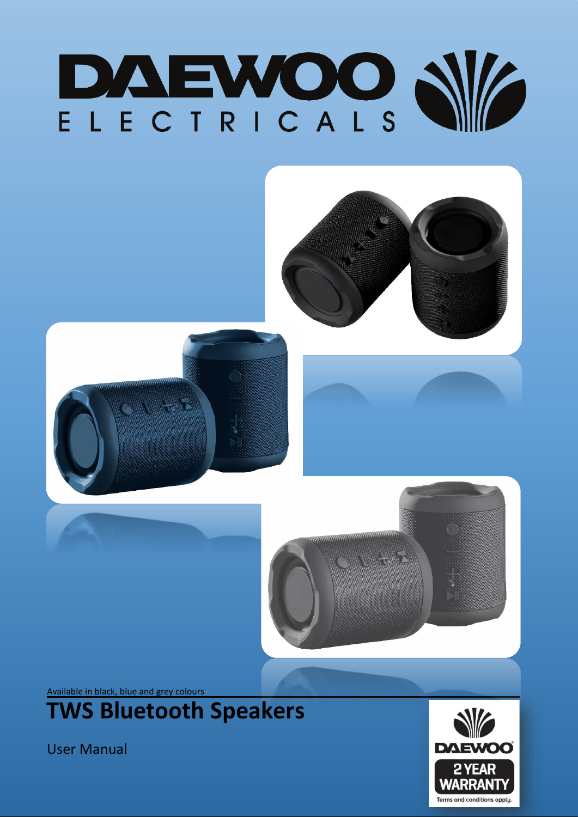



User Manual

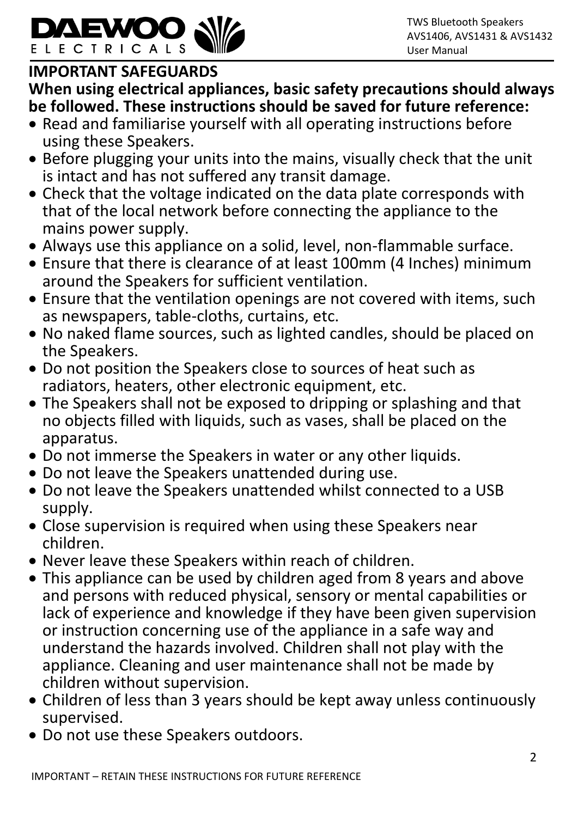

# **IMPORTANT SAFEGUARDS**

**When using electrical appliances, basic safety precautions should always be followed. These instructions should be saved for future reference:**

- Read and familiarise yourself with all operating instructions before using these Speakers.
- Before plugging your units into the mains, visually check that the unit is intact and has not suffered any transit damage.
- Check that the voltage indicated on the data plate corresponds with that of the local network before connecting the appliance to the mains power supply.
- Always use this appliance on a solid, level, non-flammable surface.
- Ensure that there is clearance of at least 100mm (4 Inches) minimum around the Speakers for sufficient ventilation.
- Ensure that the ventilation openings are not covered with items, such as newspapers, table-cloths, curtains, etc.
- No naked flame sources, such as lighted candles, should be placed on the Speakers.
- Do not position the Speakers close to sources of heat such as radiators, heaters, other electronic equipment, etc.
- The Speakers shall not be exposed to dripping or splashing and that no objects filled with liquids, such as vases, shall be placed on the apparatus.
- Do not immerse the Speakers in water or any other liquids.
- Do not leave the Speakers unattended during use.
- Do not leave the Speakers unattended whilst connected to a USB supply.
- Close supervision is required when using these Speakers near children.
- Never leave these Speakers within reach of children.
- This appliance can be used by children aged from 8 years and above and persons with reduced physical, sensory or mental capabilities or lack of experience and knowledge if they have been given supervision or instruction concerning use of the appliance in a safe way and understand the hazards involved. Children shall not play with the appliance. Cleaning and user maintenance shall not be made by children without supervision.
- Children of less than 3 years should be kept away unless continuously supervised.
- Do not use these Speakers outdoors.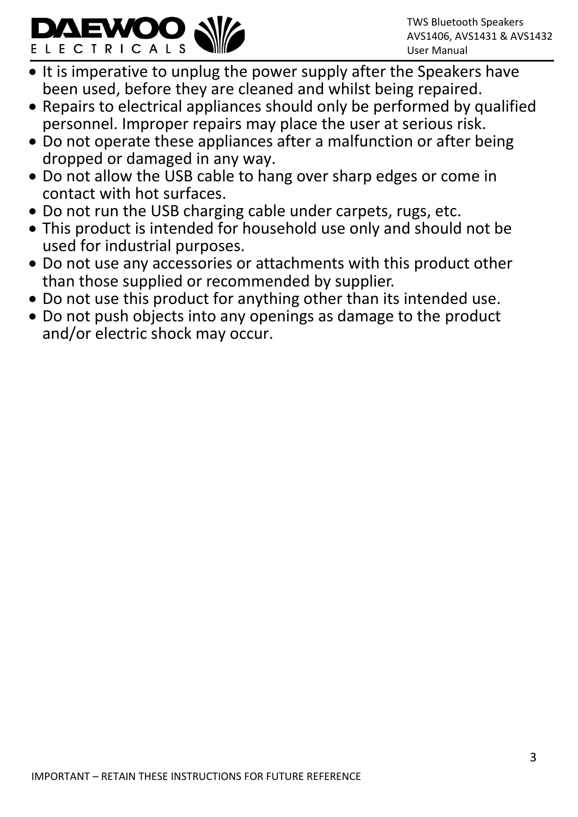

- It is imperative to unplug the power supply after the Speakers have been used, before they are cleaned and whilst being repaired.
- Repairs to electrical appliances should only be performed by qualified personnel. Improper repairs may place the user at serious risk.
- Do not operate these appliances after a malfunction or after being dropped or damaged in any way.
- Do not allow the USB cable to hang over sharp edges or come in contact with hot surfaces.
- Do not run the USB charging cable under carpets, rugs, etc.
- This product is intended for household use only and should not be used for industrial purposes.
- Do not use any accessories or attachments with this product other than those supplied or recommended by supplier.
- Do not use this product for anything other than its intended use.
- Do not push objects into any openings as damage to the product and/or electric shock may occur.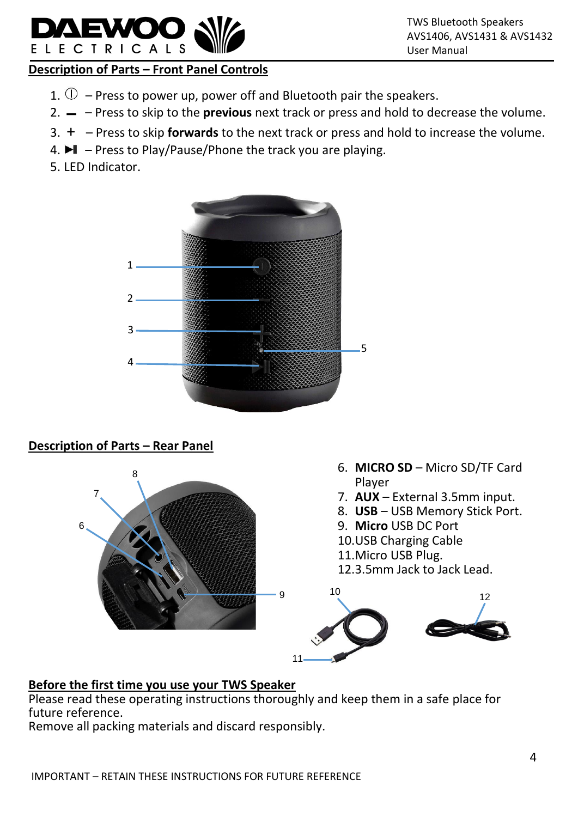# **Description of Parts – Front Panel Controls**

- 1.  $\mathbb D$  Press to power up, power off and Bluetooth pair the speakers.
- 2. ▬ Press to skip to the **previous** next track or press and hold to decrease the volume.
- 3. + Press to skip **forwards** to the next track or press and hold to increase the volume.
- 4.  $\blacktriangleright$  Press to Play/Pause/Phone the track you are playing.
- 5. LED Indicator.

ELECTRICALS



# **Description of Parts – Rear Panel**



# **Before the first time you use your TWS Speaker**

Please read these operating instructions thoroughly and keep them in a safe place for future reference.

Remove all packing materials and discard responsibly.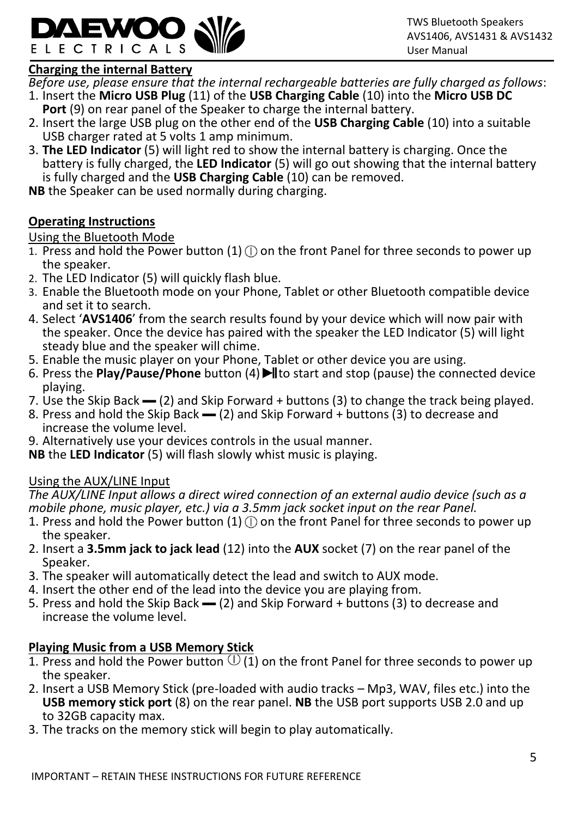

#### **Charging the internal Battery**

*Before use, please ensure that the internal rechargeable batteries are fully charged as follows*:

- 1. Insert the **Micro USB Plug** (11) of the **USB Charging Cable** (10) into the **Micro USB DC Port** (9) on rear panel of the Speaker to charge the internal battery.
- 2. Insert the large USB plug on the other end of the **USB Charging Cable** (10) into a suitable USB charger rated at 5 volts 1 amp minimum.
- 3. **The LED Indicator** (5) will light red to show the internal battery is charging. Once the battery is fully charged, the **LED Indicator** (5) will go out showing that the internal battery is fully charged and the **USB Charging Cable** (10) can be removed.

**NB** the Speaker can be used normally during charging.

# **Operating Instructions**

# Using the Bluetooth Mode

- 1. Press and hold the Power button  $(1)$  (i) on the front Panel for three seconds to power up the speaker.
- 2. The LED Indicator (5) will quickly flash blue.
- 3. Enable the Bluetooth mode on your Phone, Tablet or other Bluetooth compatible device and set it to search.
- 4. Select '**AVS1406**' from the search results found by your device which will now pair with the speaker. Once the device has paired with the speaker the LED Indicator (5) will light steady blue and the speaker will chime.
- 5. Enable the music player on your Phone, Tablet or other device you are using.
- 6. Press the **Play/Pause/Phone** button (4) I to start and stop (pause) the connected device playing.
- 7. Use the Skip Back (2) and Skip Forward + buttons (3) to change the track being played.
- 8. Press and hold the Skip Back  $-$  (2) and Skip Forward + buttons (3) to decrease and increase the volume level.
- 9. Alternatively use your devices controls in the usual manner.
- **NB** the **LED Indicator** (5) will flash slowly whist music is playing.

# Using the AUX/LINE Input

*The AUX/LINE Input allows a direct wired connection of an external audio device (such as a mobile phone, music player, etc.) via a 3.5mm jack socket input on the rear Panel.*

- 1. Press and hold the Power button (1)  $\circ$  on the front Panel for three seconds to power up the speaker.
- 2. Insert a **3.5mm jack to jack lead** (12) into the **AUX** socket (7) on the rear panel of the Speaker.
- 3. The speaker will automatically detect the lead and switch to AUX mode.
- 4. Insert the other end of the lead into the device you are playing from.
- 5. Press and hold the Skip Back (2) and Skip Forward + buttons (3) to decrease and increase the volume level.

# **Playing Music from a USB Memory Stick**

- 1. Press and hold the Power button  $\mathbb U$  (1) on the front Panel for three seconds to power up the speaker.
- 2. Insert a USB Memory Stick (pre-loaded with audio tracks Mp3, WAV, files etc.) into the **USB memory stick port** (8) on the rear panel. **NB** the USB port supports USB 2.0 and up to 32GB capacity max.
- 3. The tracks on the memory stick will begin to play automatically.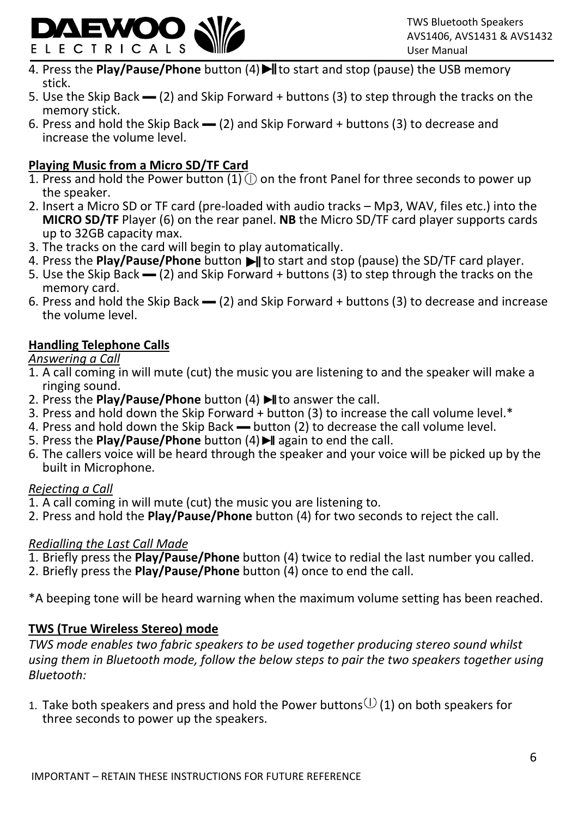

- 4. Press the **Play/Pause/Phone** button (4) I to start and stop (pause) the USB memory stick.
- 5. Use the Skip Back (2) and Skip Forward + buttons (3) to step through the tracks on the memory stick.
- 6. Press and hold the Skip Back  $-$  (2) and Skip Forward + buttons (3) to decrease and increase the volume level.

# **Playing Music from a Micro SD/TF Card**

- 1. Press and hold the Power button  $(1)$  (1) on the front Panel for three seconds to power up the speaker.
- 2. Insert a Micro SD or TF card (pre-loaded with audio tracks Mp3, WAV, files etc.) into the **MICRO SD/TF** Player (6) on the rear panel. **NB** the Micro SD/TF card player supports cards up to 32GB capacity max.
- 3. The tracks on the card will begin to play automatically.
- 4. Press the **Play/Pause/Phone** button I to start and stop (pause) the SD/TF card player.
- 5. Use the Skip Back (2) and Skip Forward + buttons (3) to step through the tracks on the memory card.
- 6. Press and hold the Skip Back ▬ (2) and Skip Forward + buttons (3) to decrease and increase the volume level.

# **Handling Telephone Calls**

# *Answering a Call*

- 1. A call coming in will mute (cut) the music you are listening to and the speaker will make a ringing sound.
- 2. Press the **Play/Pause/Phone** button (4) I to answer the call.
- 3. Press and hold down the Skip Forward + button (3) to increase the call volume level.\*
- 4. Press and hold down the Skip Back button (2) to decrease the call volume level.
- 5. Press the **Play/Pause/Phone** button (4) I again to end the call.
- 6. The callers voice will be heard through the speaker and your voice will be picked up by the built in Microphone.

# *Rejecting a Call*

- 1. A call coming in will mute (cut) the music you are listening to.
- 2. Press and hold the **Play/Pause/Phone** button (4) for two seconds to reject the call.

# *Redialling the Last Call Made*

- 1. Briefly press the **Play/Pause/Phone** button (4) twice to redial the last number you called.
- 2. Briefly press the **Play/Pause/Phone** button (4) once to end the call.

\*A beeping tone will be heard warning when the maximum volume setting has been reached.

# **TWS (True Wireless Stereo) mode**

*TWS mode enables two fabric speakers to be used together producing stereo sound whilst using them in Bluetooth mode, follow the below steps to pair the two speakers together using Bluetooth:*

1. Take both speakers and press and hold the Power buttons $\mathbb U$  (1) on both speakers for three seconds to power up the speakers.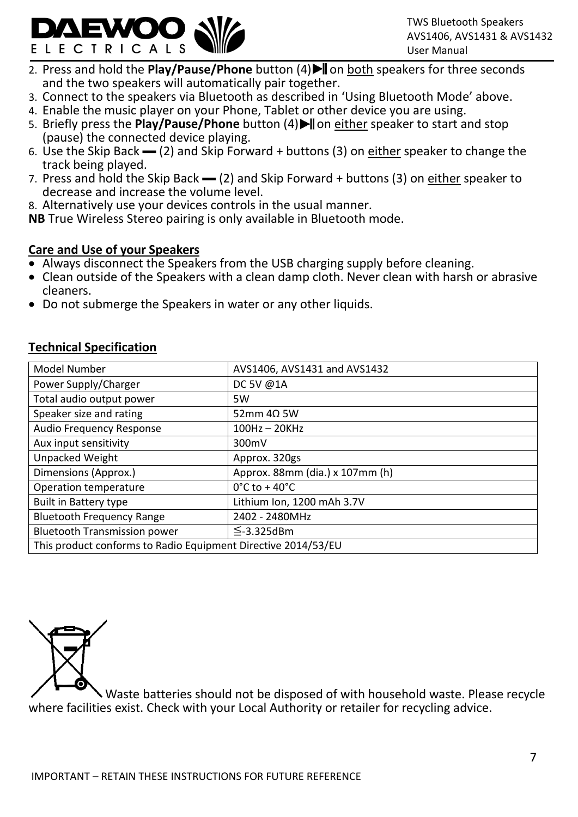

- 2. Press and hold the **Play/Pause/Phone** button (4) I on both speakers for three seconds and the two speakers will automatically pair together.
- 3. Connect to the speakers via Bluetooth as described in 'Using Bluetooth Mode' above.
- 4. Enable the music player on your Phone, Tablet or other device you are using.
- 5. Briefly press the **Play/Pause/Phone** button (4) I on either speaker to start and stop (pause) the connected device playing.
- 6. Use the Skip Back  $\rightarrow$  (2) and Skip Forward + buttons (3) on either speaker to change the track being played.
- 7. Press and hold the Skip Back (2) and Skip Forward + buttons (3) on either speaker to decrease and increase the volume level.
- 8. Alternatively use your devices controls in the usual manner.

**NB** True Wireless Stereo pairing is only available in Bluetooth mode.

#### **Care and Use of your Speakers**

- Always disconnect the Speakers from the USB charging supply before cleaning.
- Clean outside of the Speakers with a clean damp cloth. Never clean with harsh or abrasive cleaners.
- Do not submerge the Speakers in water or any other liquids.

#### **Technical Specification**

| Model Number                                                  | AVS1406, AVS1431 and AVS1432       |
|---------------------------------------------------------------|------------------------------------|
| Power Supply/Charger                                          | DC 5V @1A                          |
| Total audio output power                                      | 5W                                 |
| Speaker size and rating                                       | 52mm $4\Omega$ 5W                  |
| Audio Frequency Response                                      | $100Hz - 20KHz$                    |
| Aux input sensitivity                                         | 300mV                              |
| Unpacked Weight                                               | Approx. 320gs                      |
| Dimensions (Approx.)                                          | Approx. 88mm (dia.) x 107mm (h)    |
| Operation temperature                                         | $0^{\circ}$ C to + 40 $^{\circ}$ C |
| <b>Built in Battery type</b>                                  | Lithium Ion, 1200 mAh 3.7V         |
| <b>Bluetooth Frequency Range</b>                              | 2402 - 2480MHz                     |
| <b>Bluetooth Transmission power</b>                           | $\leq$ -3.325dBm                   |
| This product conforms to Radio Equipment Directive 2014/53/EU |                                    |



 Waste batteries should not be disposed of with household waste. Please recycle where facilities exist. Check with your Local Authority or retailer for recycling advice.